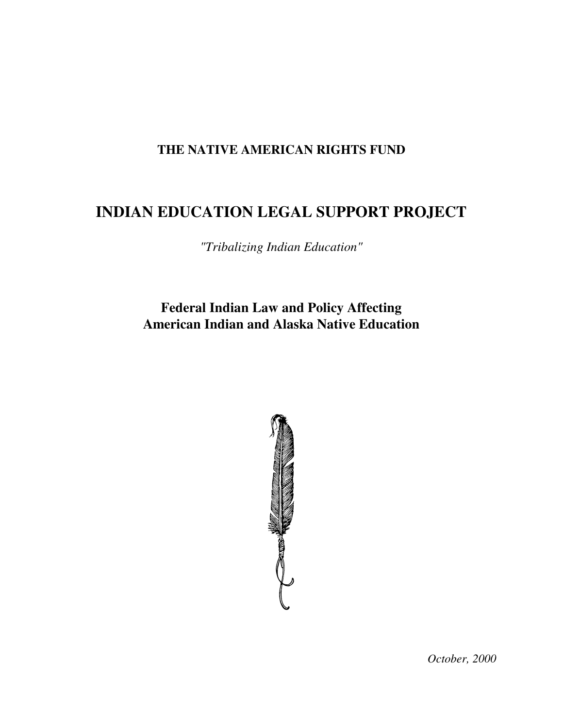# **INDIAN EDUCATION LEGAL SUPPORT PROJECT**

*"Tribalizing Indian Education"*

**Federal Indian Law and Policy Affecting American Indian and Alaska Native Education**



*October, 2000*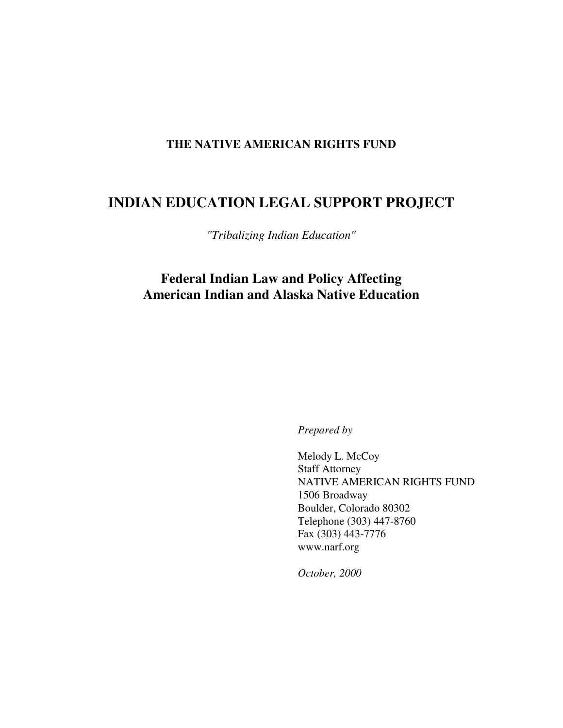# **INDIAN EDUCATION LEGAL SUPPORT PROJECT**

*"Tribalizing Indian Education"*

# **Federal Indian Law and Policy Affecting American Indian and Alaska Native Education**

*Prepared by*

Melody L. McCoy Staff Attorney NATIVE AMERICAN RIGHTS FUND 1506 Broadway Boulder, Colorado 80302 Telephone (303) 447-8760 Fax (303) 443-7776 www.narf.org

*October, 2000*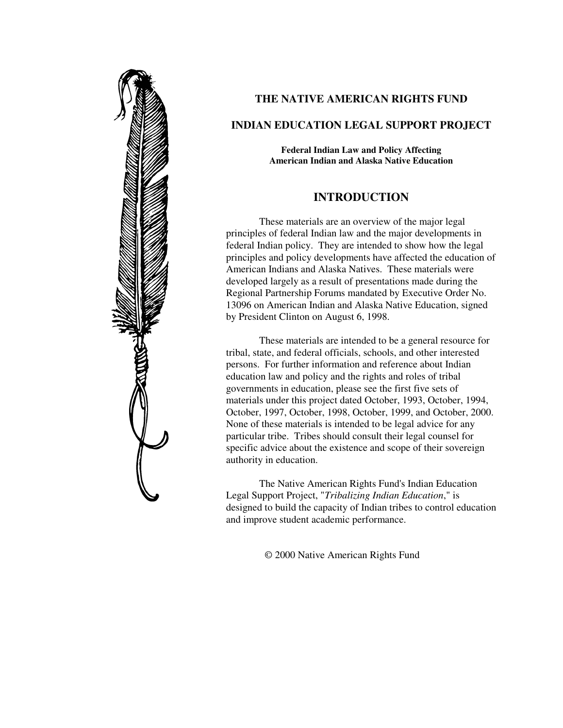

#### **INDIAN EDUCATION LEGAL SUPPORT PROJECT**

**Federal Indian Law and Policy Affecting American Indian and Alaska Native Education**

## **INTRODUCTION**

These materials are an overview of the major legal principles of federal Indian law and the major developments in federal Indian policy. They are intended to show how the legal principles and policy developments have affected the education of American Indians and Alaska Natives. These materials were developed largely as a result of presentations made during the Regional Partnership Forums mandated by Executive Order No. 13096 on American Indian and Alaska Native Education, signed by President Clinton on August 6, 1998.

These materials are intended to be a general resource for tribal, state, and federal officials, schools, and other interested persons. For further information and reference about Indian education law and policy and the rights and roles of tribal governments in education, please see the first five sets of materials under this project dated October, 1993, October, 1994, October, 1997, October, 1998, October, 1999, and October, 2000. None of these materials is intended to be legal advice for any particular tribe. Tribes should consult their legal counsel for specific advice about the existence and scope of their sovereign authority in education.

The Native American Rights Fund's Indian Education Legal Support Project, "*Tribalizing Indian Education*," is designed to build the capacity of Indian tribes to control education and improve student academic performance.

© 2000 Native American Rights Fund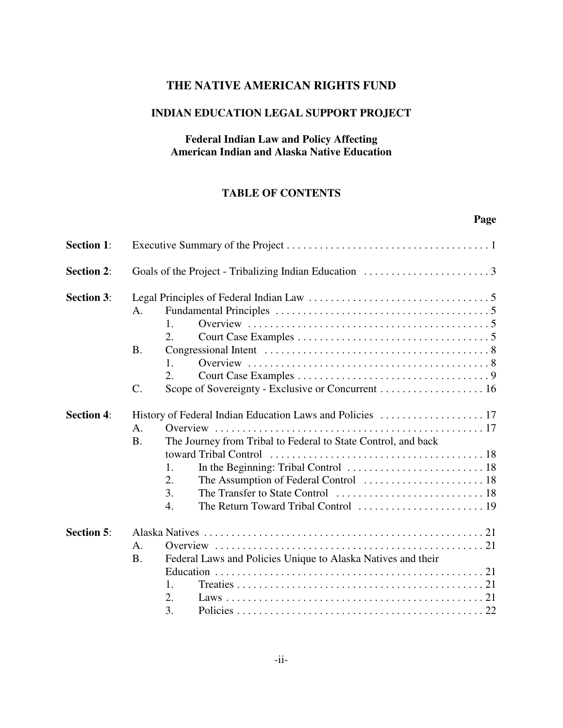#### **INDIAN EDUCATION LEGAL SUPPORT PROJECT**

## **Federal Indian Law and Policy Affecting American Indian and Alaska Native Education**

#### **TABLE OF CONTENTS**

**Page**

# **Section 1**: Executive Summary of the Project . . . . . . . . . . . . . . . . . . . . . . . . . . . . . . . . . . . . . 1 **Section 2**: Goals of the Project - Tribalizing Indian Education . . . . . . . . . . . . . . . . . . . . . . . 3 **Section 3**: Legal Principles of Federal Indian Law . . . . . . . . . . . . . . . . . . . . . . . . . . . . . . . . . 5 A. Fundamental Principles . . . . . . . . . . . . . . . . . . . . . . . . . . . . . . . . . . . . . . . 5 1. Overview . . . . . . . . . . . . . . . . . . . . . . . . . . . . . . . . . . . . . . . . . . . . 5 2. Court Case Examples . . . . . . . . . . . . . . . . . . . . . . . . . . . . . . . . . . . 5 B. Congressional Intent . . . . . . . . . . . . . . . . . . . . . . . . . . . . . . . . . . . . . . . . . 8 1. Overview . . . . . . . . . . . . . . . . . . . . . . . . . . . . . . . . . . . . . . . . . . . . 8 2. Court Case Examples . . . . . . . . . . . . . . . . . . . . . . . . . . . . . . . . . . . 9 C. Scope of Sovereignty - Exclusive or Concurrent . . . . . . . . . . . . . . . . . . . 16 **Section 4**: History of Federal Indian Education Laws and Policies . . . . . . . . . . . . . . . . . . . 17 A. Overview . . . . . . . . . . . . . . . . . . . . . . . . . . . . . . . . . . . . . . . . . . . . . . . . . 17 B. The Journey from Tribal to Federal to State Control, and back toward Tribal Control . . . . . . . . . . . . . . . . . . . . . . . . . . . . . . . . . . . . . . . 18 1. In the Beginning: Tribal Control . . . . . . . . . . . . . . . . . . . . . . . . . 18 2. The Assumption of Federal Control . . . . . . . . . . . . . . . . . . . . . . 18 3. The Transfer to State Control . . . . . . . . . . . . . . . . . . . . . . . . . . . 18 4. The Return Toward Tribal Control . . . . . . . . . . . . . . . . . . . . . . . 19 **Section 5**: Alaska Natives . . . . . . . . . . . . . . . . . . . . . . . . . . . . . . . . . . . . . . . . . . . . . . . . . . . 21 A. Overview . . . . . . . . . . . . . . . . . . . . . . . . . . . . . . . . . . . . . . . . . . . . . . . . . 21 B. Federal Laws and Policies Unique to Alaska Natives and their Education . . . . . . . . . . . . . . . . . . . . . . . . . . . . . . . . . . . . . . . . . . . . . . . . . 21 1. Treaties . . . . . . . . . . . . . . . . . . . . . . . . . . . . . . . . . . . . . . . . . . . . . 21 2. Laws . . . . . . . . . . . . . . . . . . . . . . . . . . . . . . . . . . . . . . . . . . . . . . . 21 3. Policies . . . . . . . . . . . . . . . . . . . . . . . . . . . . . . . . . . . . . . . . . . . . . 22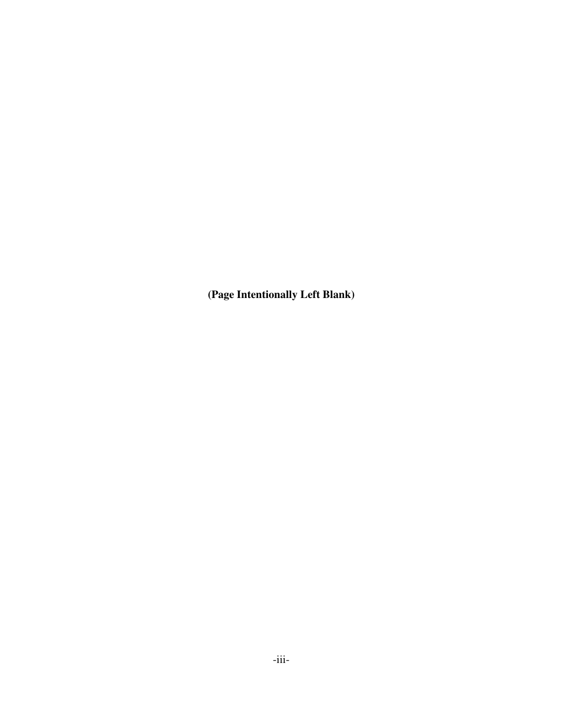**(Page Intentionally Left Blank)**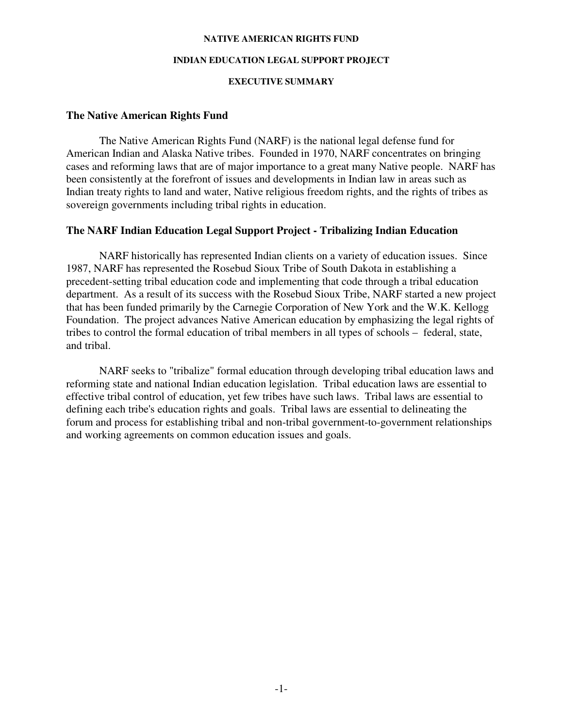#### **INDIAN EDUCATION LEGAL SUPPORT PROJECT**

#### **EXECUTIVE SUMMARY**

#### **The Native American Rights Fund**

The Native American Rights Fund (NARF) is the national legal defense fund for American Indian and Alaska Native tribes. Founded in 1970, NARF concentrates on bringing cases and reforming laws that are of major importance to a great many Native people. NARF has been consistently at the forefront of issues and developments in Indian law in areas such as Indian treaty rights to land and water, Native religious freedom rights, and the rights of tribes as sovereign governments including tribal rights in education.

#### **The NARF Indian Education Legal Support Project - Tribalizing Indian Education**

NARF historically has represented Indian clients on a variety of education issues. Since 1987, NARF has represented the Rosebud Sioux Tribe of South Dakota in establishing a precedent-setting tribal education code and implementing that code through a tribal education department. As a result of its success with the Rosebud Sioux Tribe, NARF started a new project that has been funded primarily by the Carnegie Corporation of New York and the W.K. Kellogg Foundation. The project advances Native American education by emphasizing the legal rights of tribes to control the formal education of tribal members in all types of schools – federal, state, and tribal.

NARF seeks to "tribalize" formal education through developing tribal education laws and reforming state and national Indian education legislation. Tribal education laws are essential to effective tribal control of education, yet few tribes have such laws. Tribal laws are essential to defining each tribe's education rights and goals. Tribal laws are essential to delineating the forum and process for establishing tribal and non-tribal government-to-government relationships and working agreements on common education issues and goals.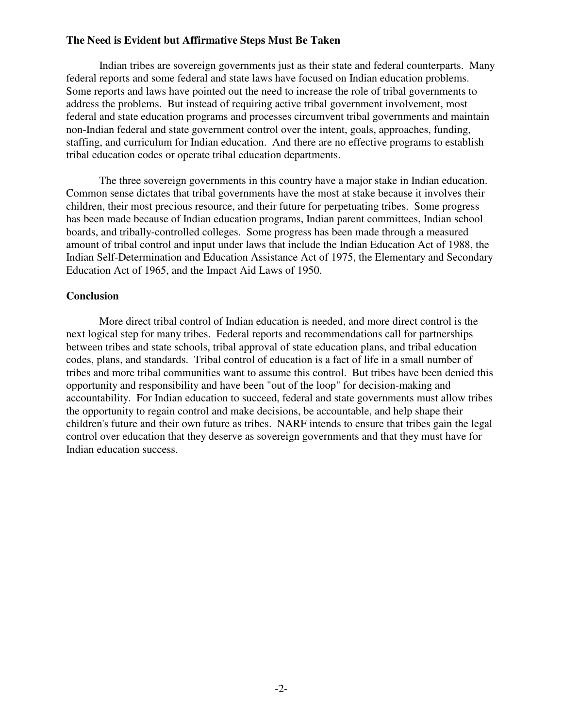## **The Need is Evident but Affirmative Steps Must Be Taken**

Indian tribes are sovereign governments just as their state and federal counterparts. Many federal reports and some federal and state laws have focused on Indian education problems. Some reports and laws have pointed out the need to increase the role of tribal governments to address the problems. But instead of requiring active tribal government involvement, most federal and state education programs and processes circumvent tribal governments and maintain non-Indian federal and state government control over the intent, goals, approaches, funding, staffing, and curriculum for Indian education. And there are no effective programs to establish tribal education codes or operate tribal education departments.

The three sovereign governments in this country have a major stake in Indian education. Common sense dictates that tribal governments have the most at stake because it involves their children, their most precious resource, and their future for perpetuating tribes. Some progress has been made because of Indian education programs, Indian parent committees, Indian school boards, and tribally-controlled colleges. Some progress has been made through a measured amount of tribal control and input under laws that include the Indian Education Act of 1988, the Indian Self-Determination and Education Assistance Act of 1975, the Elementary and Secondary Education Act of 1965, and the Impact Aid Laws of 1950.

## **Conclusion**

More direct tribal control of Indian education is needed, and more direct control is the next logical step for many tribes. Federal reports and recommendations call for partnerships between tribes and state schools, tribal approval of state education plans, and tribal education codes, plans, and standards. Tribal control of education is a fact of life in a small number of tribes and more tribal communities want to assume this control. But tribes have been denied this opportunity and responsibility and have been "out of the loop" for decision-making and accountability. For Indian education to succeed, federal and state governments must allow tribes the opportunity to regain control and make decisions, be accountable, and help shape their children's future and their own future as tribes. NARF intends to ensure that tribes gain the legal control over education that they deserve as sovereign governments and that they must have for Indian education success.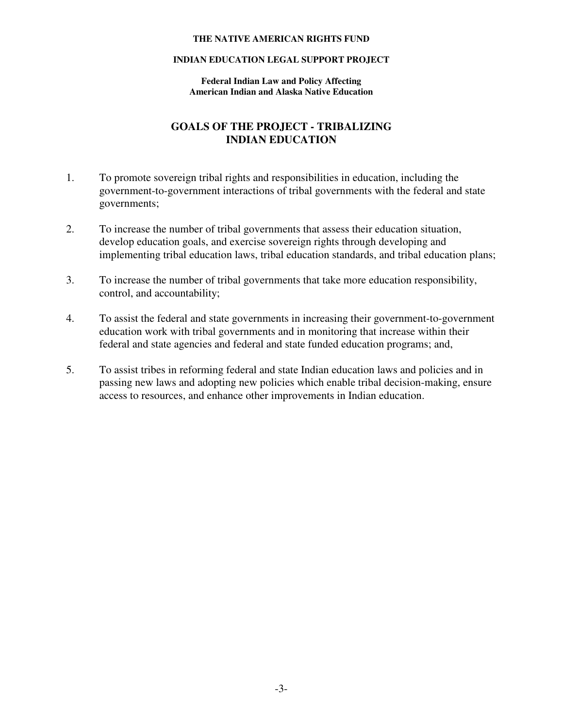#### **INDIAN EDUCATION LEGAL SUPPORT PROJECT**

#### **Federal Indian Law and Policy Affecting American Indian and Alaska Native Education**

# **GOALS OF THE PROJECT - TRIBALIZING INDIAN EDUCATION**

- 1. To promote sovereign tribal rights and responsibilities in education, including the government-to-government interactions of tribal governments with the federal and state governments;
- 2. To increase the number of tribal governments that assess their education situation, develop education goals, and exercise sovereign rights through developing and implementing tribal education laws, tribal education standards, and tribal education plans;
- 3. To increase the number of tribal governments that take more education responsibility, control, and accountability;
- 4. To assist the federal and state governments in increasing their government-to-government education work with tribal governments and in monitoring that increase within their federal and state agencies and federal and state funded education programs; and,
- 5. To assist tribes in reforming federal and state Indian education laws and policies and in passing new laws and adopting new policies which enable tribal decision-making, ensure access to resources, and enhance other improvements in Indian education.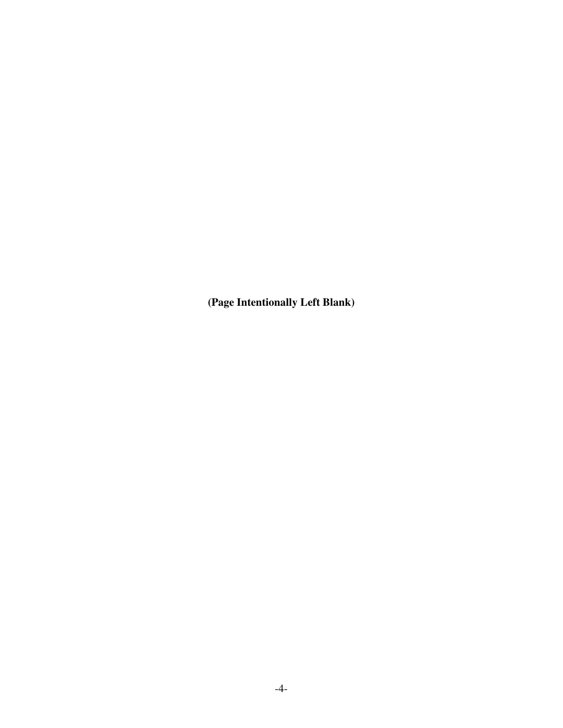**(Page Intentionally Left Blank)**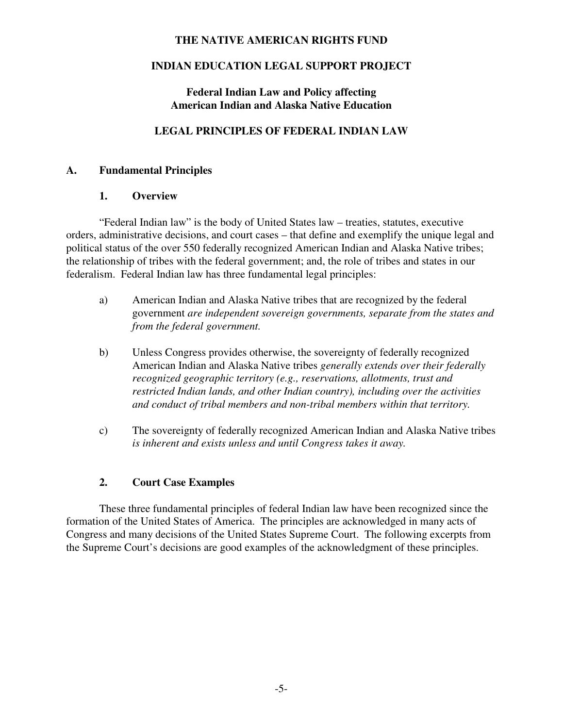# **INDIAN EDUCATION LEGAL SUPPORT PROJECT**

## **Federal Indian Law and Policy affecting American Indian and Alaska Native Education**

# **LEGAL PRINCIPLES OF FEDERAL INDIAN LAW**

## **A. Fundamental Principles**

## **1. Overview**

"Federal Indian law" is the body of United States law – treaties, statutes, executive orders, administrative decisions, and court cases – that define and exemplify the unique legal and political status of the over 550 federally recognized American Indian and Alaska Native tribes; the relationship of tribes with the federal government; and, the role of tribes and states in our federalism. Federal Indian law has three fundamental legal principles:

- a) American Indian and Alaska Native tribes that are recognized by the federal government *are independent sovereign governments, separate from the states and from the federal government.*
- b) Unless Congress provides otherwise, the sovereignty of federally recognized American Indian and Alaska Native tribes *generally extends over their federally recognized geographic territory (e.g., reservations, allotments, trust and restricted Indian lands, and other Indian country), including over the activities and conduct of tribal members and non-tribal members within that territory.*
- c) The sovereignty of federally recognized American Indian and Alaska Native tribes *is inherent and exists unless and until Congress takes it away.*

## **2. Court Case Examples**

These three fundamental principles of federal Indian law have been recognized since the formation of the United States of America. The principles are acknowledged in many acts of Congress and many decisions of the United States Supreme Court. The following excerpts from the Supreme Court's decisions are good examples of the acknowledgment of these principles.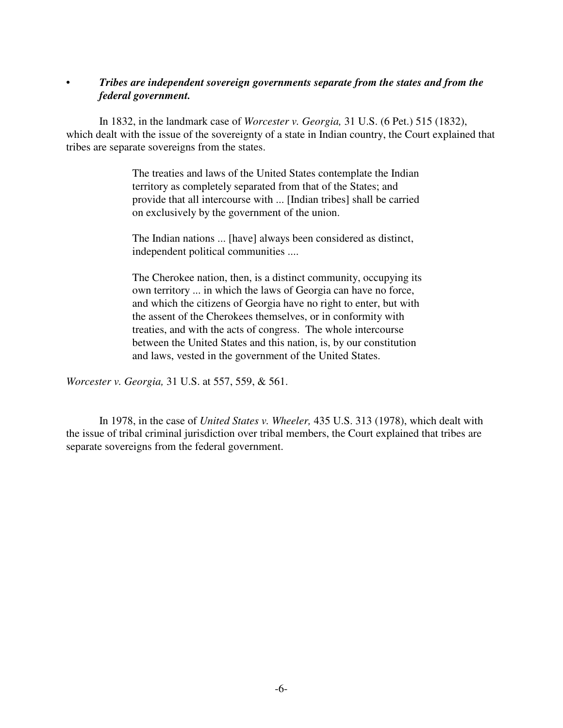## • *Tribes are independent sovereign governments separate from the states and from the federal government.*

In 1832, in the landmark case of *Worcester v. Georgia,* 31 U.S. (6 Pet.) 515 (1832), which dealt with the issue of the sovereignty of a state in Indian country, the Court explained that tribes are separate sovereigns from the states.

> The treaties and laws of the United States contemplate the Indian territory as completely separated from that of the States; and provide that all intercourse with ... [Indian tribes] shall be carried on exclusively by the government of the union.

The Indian nations ... [have] always been considered as distinct, independent political communities ....

The Cherokee nation, then, is a distinct community, occupying its own territory ... in which the laws of Georgia can have no force, and which the citizens of Georgia have no right to enter, but with the assent of the Cherokees themselves, or in conformity with treaties, and with the acts of congress. The whole intercourse between the United States and this nation, is, by our constitution and laws, vested in the government of the United States.

*Worcester v. Georgia,* 31 U.S. at 557, 559, & 561.

In 1978, in the case of *United States v. Wheeler,* 435 U.S. 313 (1978), which dealt with the issue of tribal criminal jurisdiction over tribal members, the Court explained that tribes are separate sovereigns from the federal government.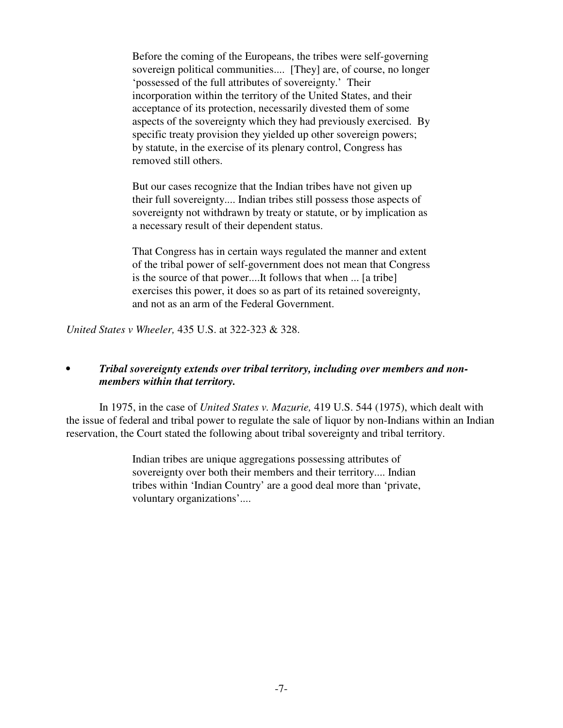Before the coming of the Europeans, the tribes were self-governing sovereign political communities.... [They] are, of course, no longer 'possessed of the full attributes of sovereignty.' Their incorporation within the territory of the United States, and their acceptance of its protection, necessarily divested them of some aspects of the sovereignty which they had previously exercised. By specific treaty provision they yielded up other sovereign powers; by statute, in the exercise of its plenary control, Congress has removed still others.

But our cases recognize that the Indian tribes have not given up their full sovereignty.... Indian tribes still possess those aspects of sovereignty not withdrawn by treaty or statute, or by implication as a necessary result of their dependent status.

That Congress has in certain ways regulated the manner and extent of the tribal power of self-government does not mean that Congress is the source of that power....It follows that when ... [a tribe] exercises this power, it does so as part of its retained sovereignty, and not as an arm of the Federal Government.

*United States v Wheeler,* 435 U.S. at 322-323 & 328.

## *• Tribal sovereignty extends over tribal territory, including over members and nonmembers within that territory.*

In 1975, in the case of *United States v. Mazurie,* 419 U.S. 544 (1975), which dealt with the issue of federal and tribal power to regulate the sale of liquor by non-Indians within an Indian reservation, the Court stated the following about tribal sovereignty and tribal territory.

> Indian tribes are unique aggregations possessing attributes of sovereignty over both their members and their territory.... Indian tribes within 'Indian Country' are a good deal more than 'private, voluntary organizations'....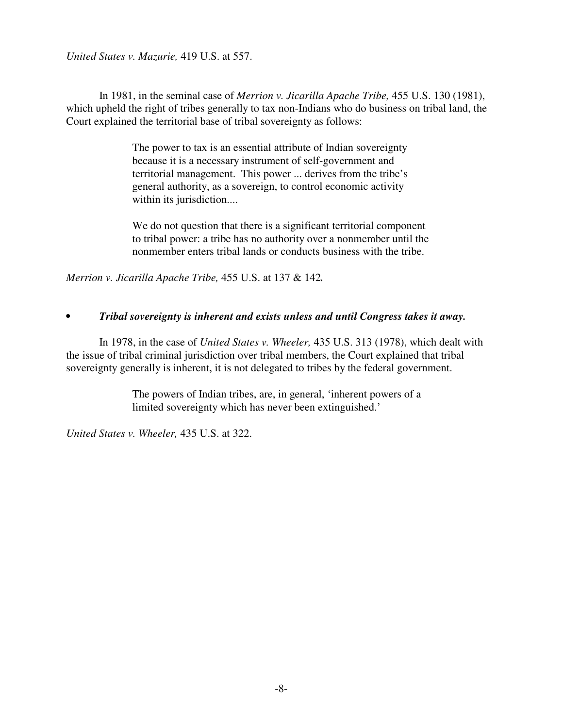*United States v. Mazurie,* 419 U.S. at 557.

In 1981, in the seminal case of *Merrion v. Jicarilla Apache Tribe,* 455 U.S. 130 (1981), which upheld the right of tribes generally to tax non-Indians who do business on tribal land, the Court explained the territorial base of tribal sovereignty as follows:

> The power to tax is an essential attribute of Indian sovereignty because it is a necessary instrument of self-government and territorial management. This power ... derives from the tribe's general authority, as a sovereign, to control economic activity within its jurisdiction....

We do not question that there is a significant territorial component to tribal power: a tribe has no authority over a nonmember until the nonmember enters tribal lands or conducts business with the tribe.

*Merrion v. Jicarilla Apache Tribe,* 455 U.S. at 137 & 142*.*

## *• Tribal sovereignty is inherent and exists unless and until Congress takes it away.*

In 1978, in the case of *United States v. Wheeler,* 435 U.S. 313 (1978), which dealt with the issue of tribal criminal jurisdiction over tribal members, the Court explained that tribal sovereignty generally is inherent, it is not delegated to tribes by the federal government.

> The powers of Indian tribes, are, in general, 'inherent powers of a limited sovereignty which has never been extinguished.'

*United States v. Wheeler,* 435 U.S. at 322.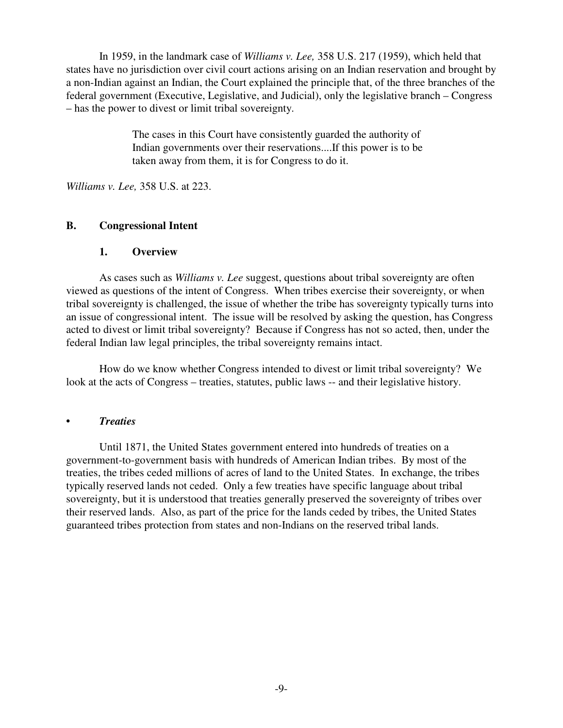In 1959, in the landmark case of *Williams v. Lee,* 358 U.S. 217 (1959), which held that states have no jurisdiction over civil court actions arising on an Indian reservation and brought by a non-Indian against an Indian, the Court explained the principle that, of the three branches of the federal government (Executive, Legislative, and Judicial), only the legislative branch – Congress – has the power to divest or limit tribal sovereignty.

> The cases in this Court have consistently guarded the authority of Indian governments over their reservations....If this power is to be taken away from them, it is for Congress to do it.

*Williams v. Lee,* 358 U.S. at 223.

## **B. Congressional Intent**

## **1. Overview**

As cases such as *Williams v. Lee* suggest, questions about tribal sovereignty are often viewed as questions of the intent of Congress. When tribes exercise their sovereignty, or when tribal sovereignty is challenged, the issue of whether the tribe has sovereignty typically turns into an issue of congressional intent. The issue will be resolved by asking the question, has Congress acted to divest or limit tribal sovereignty? Because if Congress has not so acted, then, under the federal Indian law legal principles, the tribal sovereignty remains intact.

How do we know whether Congress intended to divest or limit tribal sovereignty? We look at the acts of Congress – treaties, statutes, public laws -- and their legislative history.

## **•** *Treaties*

Until 1871, the United States government entered into hundreds of treaties on a government-to-government basis with hundreds of American Indian tribes. By most of the treaties, the tribes ceded millions of acres of land to the United States. In exchange, the tribes typically reserved lands not ceded. Only a few treaties have specific language about tribal sovereignty, but it is understood that treaties generally preserved the sovereignty of tribes over their reserved lands. Also, as part of the price for the lands ceded by tribes, the United States guaranteed tribes protection from states and non-Indians on the reserved tribal lands.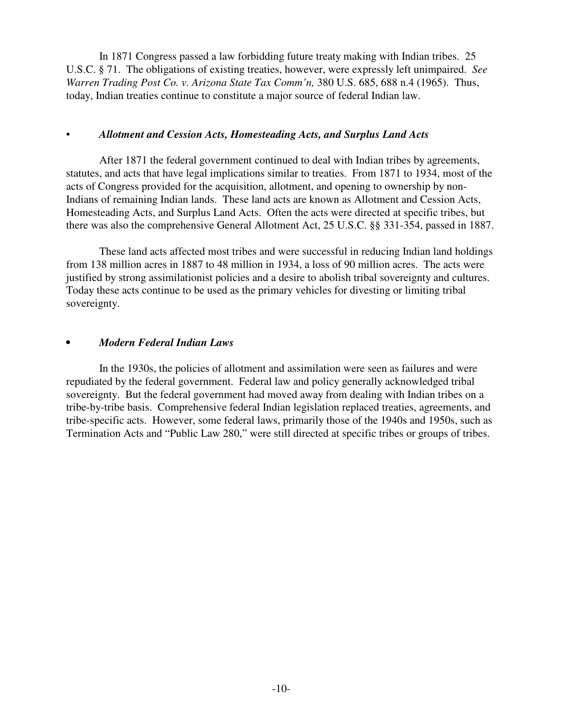In 1871 Congress passed a law forbidding future treaty making with Indian tribes. 25 U.S.C. § 71. The obligations of existing treaties, however, were expressly left unimpaired. *See Warren Trading Post Co. v. Arizona State Tax Comm'n,* 380 U.S. 685, 688 n.4 (1965). Thus, today, Indian treaties continue to constitute a major source of federal Indian law.

## • *Allotment and Cession Acts, Homesteading Acts, and Surplus Land Acts*

After 1871 the federal government continued to deal with Indian tribes by agreements, statutes, and acts that have legal implications similar to treaties. From 1871 to 1934, most of the acts of Congress provided for the acquisition, allotment, and opening to ownership by non-Indians of remaining Indian lands. These land acts are known as Allotment and Cession Acts, Homesteading Acts, and Surplus Land Acts. Often the acts were directed at specific tribes, but there was also the comprehensive General Allotment Act, 25 U.S.C. §§ 331-354, passed in 1887.

These land acts affected most tribes and were successful in reducing Indian land holdings from 138 million acres in 1887 to 48 million in 1934, a loss of 90 million acres. The acts were justified by strong assimilationist policies and a desire to abolish tribal sovereignty and cultures. Today these acts continue to be used as the primary vehicles for divesting or limiting tribal sovereignty.

## *• Modern Federal Indian Laws*

In the 1930s, the policies of allotment and assimilation were seen as failures and were repudiated by the federal government. Federal law and policy generally acknowledged tribal sovereignty. But the federal government had moved away from dealing with Indian tribes on a tribe-by-tribe basis. Comprehensive federal Indian legislation replaced treaties, agreements, and tribe-specific acts. However, some federal laws, primarily those of the 1940s and 1950s, such as Termination Acts and "Public Law 280," were still directed at specific tribes or groups of tribes.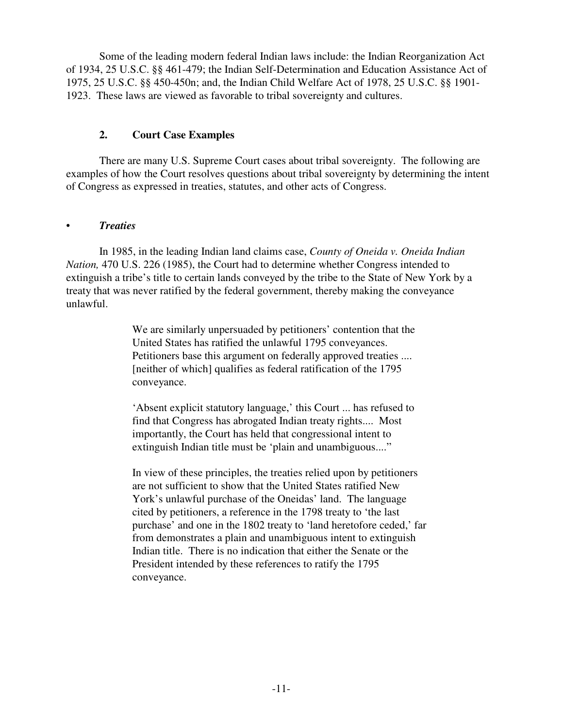Some of the leading modern federal Indian laws include: the Indian Reorganization Act of 1934, 25 U.S.C. §§ 461-479; the Indian Self-Determination and Education Assistance Act of 1975, 25 U.S.C. §§ 450-450n; and, the Indian Child Welfare Act of 1978, 25 U.S.C. §§ 1901- 1923. These laws are viewed as favorable to tribal sovereignty and cultures.

## **2. Court Case Examples**

There are many U.S. Supreme Court cases about tribal sovereignty. The following are examples of how the Court resolves questions about tribal sovereignty by determining the intent of Congress as expressed in treaties, statutes, and other acts of Congress.

## • *Treaties*

In 1985, in the leading Indian land claims case, *County of Oneida v. Oneida Indian Nation,* 470 U.S. 226 (1985), the Court had to determine whether Congress intended to extinguish a tribe's title to certain lands conveyed by the tribe to the State of New York by a treaty that was never ratified by the federal government, thereby making the conveyance unlawful.

> We are similarly unpersuaded by petitioners' contention that the United States has ratified the unlawful 1795 conveyances. Petitioners base this argument on federally approved treaties .... [neither of which] qualifies as federal ratification of the 1795 conveyance.

> 'Absent explicit statutory language,' this Court ... has refused to find that Congress has abrogated Indian treaty rights.... Most importantly, the Court has held that congressional intent to extinguish Indian title must be 'plain and unambiguous...."

In view of these principles, the treaties relied upon by petitioners are not sufficient to show that the United States ratified New York's unlawful purchase of the Oneidas' land. The language cited by petitioners, a reference in the 1798 treaty to 'the last purchase' and one in the 1802 treaty to 'land heretofore ceded,' far from demonstrates a plain and unambiguous intent to extinguish Indian title. There is no indication that either the Senate or the President intended by these references to ratify the 1795 conveyance.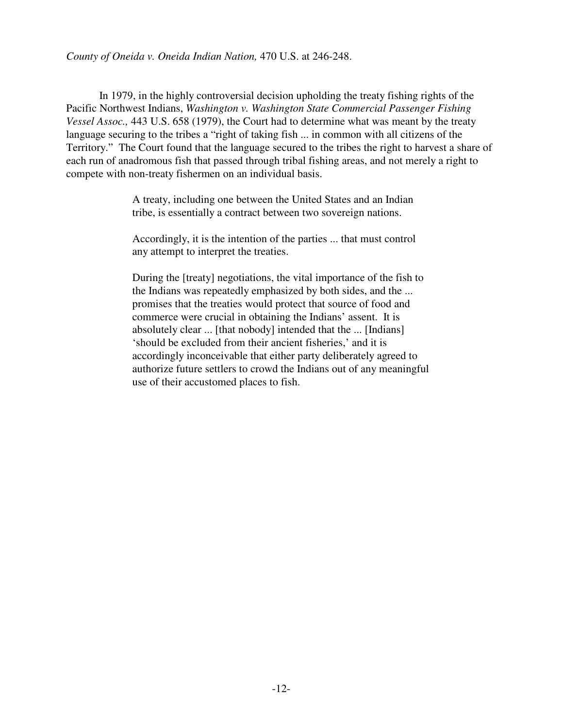*County of Oneida v. Oneida Indian Nation,* 470 U.S. at 246-248.

In 1979, in the highly controversial decision upholding the treaty fishing rights of the Pacific Northwest Indians, *Washington v. Washington State Commercial Passenger Fishing Vessel Assoc.,* 443 U.S. 658 (1979), the Court had to determine what was meant by the treaty language securing to the tribes a "right of taking fish ... in common with all citizens of the Territory." The Court found that the language secured to the tribes the right to harvest a share of each run of anadromous fish that passed through tribal fishing areas, and not merely a right to compete with non-treaty fishermen on an individual basis.

> A treaty, including one between the United States and an Indian tribe, is essentially a contract between two sovereign nations.

> Accordingly, it is the intention of the parties ... that must control any attempt to interpret the treaties.

During the [treaty] negotiations, the vital importance of the fish to the Indians was repeatedly emphasized by both sides, and the ... promises that the treaties would protect that source of food and commerce were crucial in obtaining the Indians' assent. It is absolutely clear ... [that nobody] intended that the ... [Indians] 'should be excluded from their ancient fisheries,' and it is accordingly inconceivable that either party deliberately agreed to authorize future settlers to crowd the Indians out of any meaningful use of their accustomed places to fish.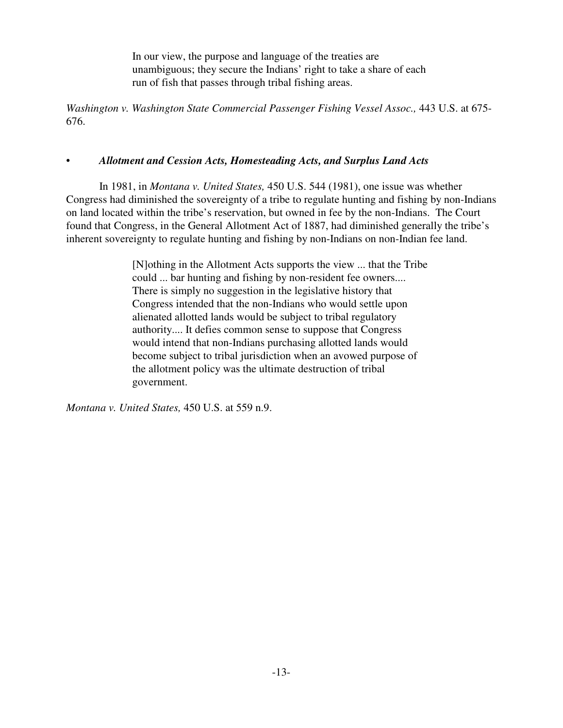In our view, the purpose and language of the treaties are unambiguous; they secure the Indians' right to take a share of each run of fish that passes through tribal fishing areas.

*Washington v. Washington State Commercial Passenger Fishing Vessel Assoc.,* 443 U.S. at 675- 676.

## • *Allotment and Cession Acts, Homesteading Acts, and Surplus Land Acts*

In 1981, in *Montana v. United States,* 450 U.S. 544 (1981), one issue was whether Congress had diminished the sovereignty of a tribe to regulate hunting and fishing by non-Indians on land located within the tribe's reservation, but owned in fee by the non-Indians. The Court found that Congress, in the General Allotment Act of 1887, had diminished generally the tribe's inherent sovereignty to regulate hunting and fishing by non-Indians on non-Indian fee land.

> [N]othing in the Allotment Acts supports the view ... that the Tribe could ... bar hunting and fishing by non-resident fee owners.... There is simply no suggestion in the legislative history that Congress intended that the non-Indians who would settle upon alienated allotted lands would be subject to tribal regulatory authority.... It defies common sense to suppose that Congress would intend that non-Indians purchasing allotted lands would become subject to tribal jurisdiction when an avowed purpose of the allotment policy was the ultimate destruction of tribal government.

*Montana v. United States,* 450 U.S. at 559 n.9.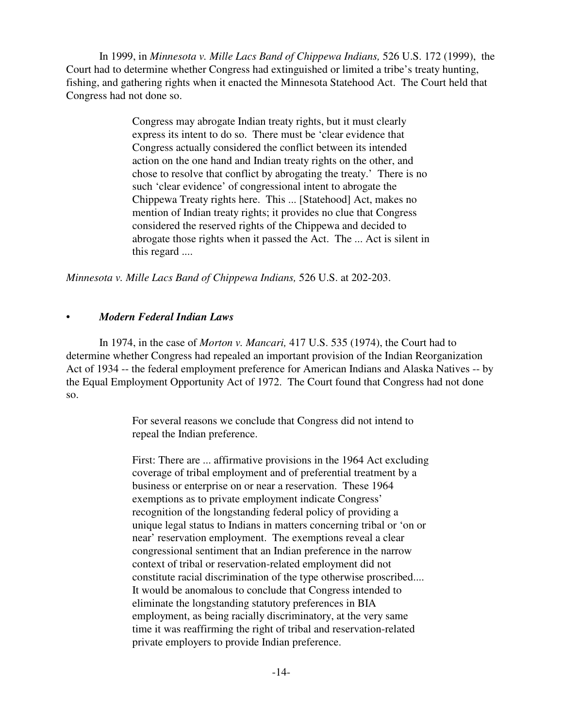In 1999, in *Minnesota v. Mille Lacs Band of Chippewa Indians,* 526 U.S. 172 (1999), the Court had to determine whether Congress had extinguished or limited a tribe's treaty hunting, fishing, and gathering rights when it enacted the Minnesota Statehood Act. The Court held that Congress had not done so.

> Congress may abrogate Indian treaty rights, but it must clearly express its intent to do so. There must be 'clear evidence that Congress actually considered the conflict between its intended action on the one hand and Indian treaty rights on the other, and chose to resolve that conflict by abrogating the treaty.' There is no such 'clear evidence' of congressional intent to abrogate the Chippewa Treaty rights here. This ... [Statehood] Act, makes no mention of Indian treaty rights; it provides no clue that Congress considered the reserved rights of the Chippewa and decided to abrogate those rights when it passed the Act. The ... Act is silent in this regard ....

*Minnesota v. Mille Lacs Band of Chippewa Indians,* 526 U.S. at 202-203.

#### • *Modern Federal Indian Laws*

In 1974, in the case of *Morton v. Mancari,* 417 U.S. 535 (1974), the Court had to determine whether Congress had repealed an important provision of the Indian Reorganization Act of 1934 -- the federal employment preference for American Indians and Alaska Natives -- by the Equal Employment Opportunity Act of 1972. The Court found that Congress had not done so.

> For several reasons we conclude that Congress did not intend to repeal the Indian preference.

First: There are ... affirmative provisions in the 1964 Act excluding coverage of tribal employment and of preferential treatment by a business or enterprise on or near a reservation. These 1964 exemptions as to private employment indicate Congress' recognition of the longstanding federal policy of providing a unique legal status to Indians in matters concerning tribal or 'on or near' reservation employment. The exemptions reveal a clear congressional sentiment that an Indian preference in the narrow context of tribal or reservation-related employment did not constitute racial discrimination of the type otherwise proscribed.... It would be anomalous to conclude that Congress intended to eliminate the longstanding statutory preferences in BIA employment, as being racially discriminatory, at the very same time it was reaffirming the right of tribal and reservation-related private employers to provide Indian preference.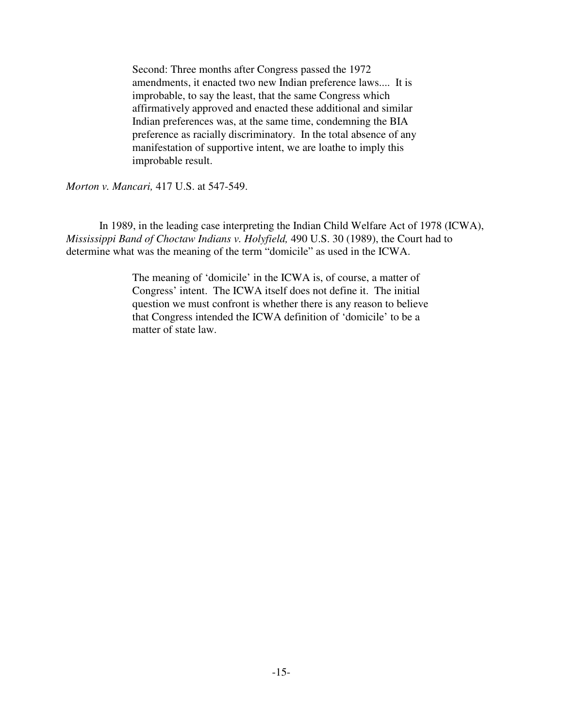Second: Three months after Congress passed the 1972 amendments, it enacted two new Indian preference laws.... It is improbable, to say the least, that the same Congress which affirmatively approved and enacted these additional and similar Indian preferences was, at the same time, condemning the BIA preference as racially discriminatory. In the total absence of any manifestation of supportive intent, we are loathe to imply this improbable result.

*Morton v. Mancari,* 417 U.S. at 547-549.

In 1989, in the leading case interpreting the Indian Child Welfare Act of 1978 (ICWA), *Mississippi Band of Choctaw Indians v. Holyfield,* 490 U.S. 30 (1989), the Court had to determine what was the meaning of the term "domicile" as used in the ICWA.

> The meaning of 'domicile' in the ICWA is, of course, a matter of Congress' intent. The ICWA itself does not define it. The initial question we must confront is whether there is any reason to believe that Congress intended the ICWA definition of 'domicile' to be a matter of state law.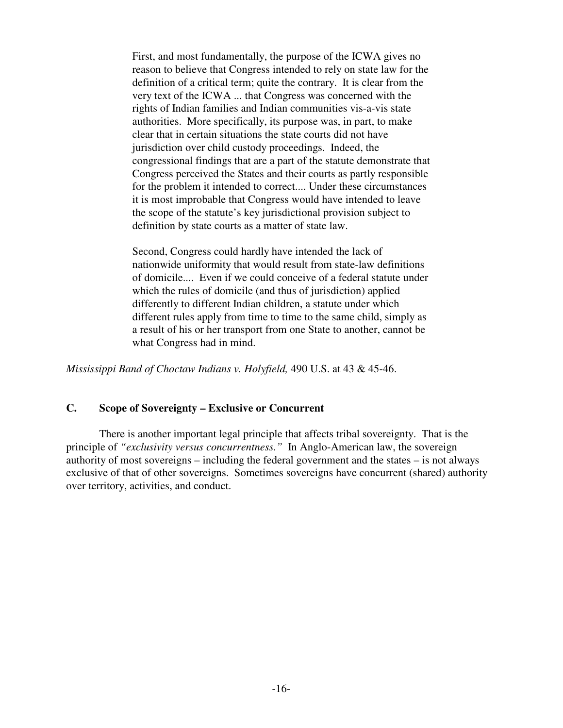First, and most fundamentally, the purpose of the ICWA gives no reason to believe that Congress intended to rely on state law for the definition of a critical term; quite the contrary. It is clear from the very text of the ICWA ... that Congress was concerned with the rights of Indian families and Indian communities vis-a-vis state authorities. More specifically, its purpose was, in part, to make clear that in certain situations the state courts did not have jurisdiction over child custody proceedings. Indeed, the congressional findings that are a part of the statute demonstrate that Congress perceived the States and their courts as partly responsible for the problem it intended to correct.... Under these circumstances it is most improbable that Congress would have intended to leave the scope of the statute's key jurisdictional provision subject to definition by state courts as a matter of state law.

Second, Congress could hardly have intended the lack of nationwide uniformity that would result from state-law definitions of domicile.... Even if we could conceive of a federal statute under which the rules of domicile (and thus of jurisdiction) applied differently to different Indian children, a statute under which different rules apply from time to time to the same child, simply as a result of his or her transport from one State to another, cannot be what Congress had in mind.

*Mississippi Band of Choctaw Indians v. Holyfield,* 490 U.S. at 43 & 45-46.

## **C. Scope of Sovereignty – Exclusive or Concurrent**

There is another important legal principle that affects tribal sovereignty. That is the principle of *"exclusivity versus concurrentness."* In Anglo-American law, the sovereign authority of most sovereigns – including the federal government and the states – is not always exclusive of that of other sovereigns. Sometimes sovereigns have concurrent (shared) authority over territory, activities, and conduct.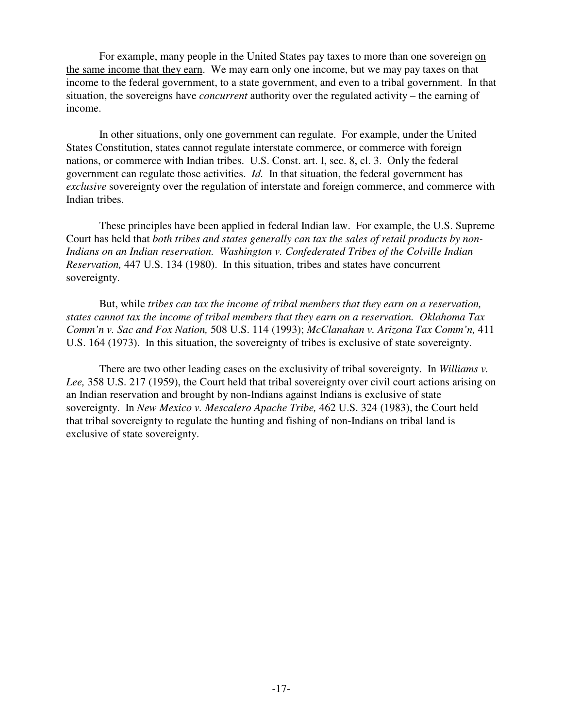For example, many people in the United States pay taxes to more than one sovereign on the same income that they earn. We may earn only one income, but we may pay taxes on that income to the federal government, to a state government, and even to a tribal government. In that situation, the sovereigns have *concurrent* authority over the regulated activity – the earning of income.

In other situations, only one government can regulate. For example, under the United States Constitution, states cannot regulate interstate commerce, or commerce with foreign nations, or commerce with Indian tribes. U.S. Const. art. I, sec. 8, cl. 3. Only the federal government can regulate those activities. *Id.* In that situation, the federal government has *exclusive* sovereignty over the regulation of interstate and foreign commerce, and commerce with Indian tribes.

These principles have been applied in federal Indian law. For example, the U.S. Supreme Court has held that *both tribes and states generally can tax the sales of retail products by non-Indians on an Indian reservation. Washington v. Confederated Tribes of the Colville Indian Reservation,* 447 U.S. 134 (1980). In this situation, tribes and states have concurrent sovereignty.

But, while *tribes can tax the income of tribal members that they earn on a reservation, states cannot tax the income of tribal members that they earn on a reservation. Oklahoma Tax Comm'n v. Sac and Fox Nation,* 508 U.S. 114 (1993); *McClanahan v. Arizona Tax Comm'n,* 411 U.S. 164 (1973). In this situation, the sovereignty of tribes is exclusive of state sovereignty.

There are two other leading cases on the exclusivity of tribal sovereignty. In *Williams v. Lee,* 358 U.S. 217 (1959), the Court held that tribal sovereignty over civil court actions arising on an Indian reservation and brought by non-Indians against Indians is exclusive of state sovereignty. In *New Mexico v. Mescalero Apache Tribe,* 462 U.S. 324 (1983), the Court held that tribal sovereignty to regulate the hunting and fishing of non-Indians on tribal land is exclusive of state sovereignty.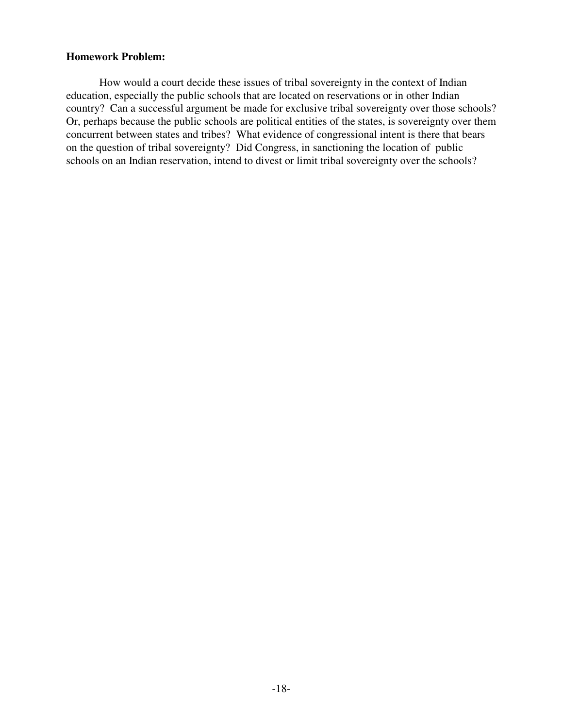## **Homework Problem:**

How would a court decide these issues of tribal sovereignty in the context of Indian education, especially the public schools that are located on reservations or in other Indian country? Can a successful argument be made for exclusive tribal sovereignty over those schools? Or, perhaps because the public schools are political entities of the states, is sovereignty over them concurrent between states and tribes? What evidence of congressional intent is there that bears on the question of tribal sovereignty? Did Congress, in sanctioning the location of public schools on an Indian reservation, intend to divest or limit tribal sovereignty over the schools?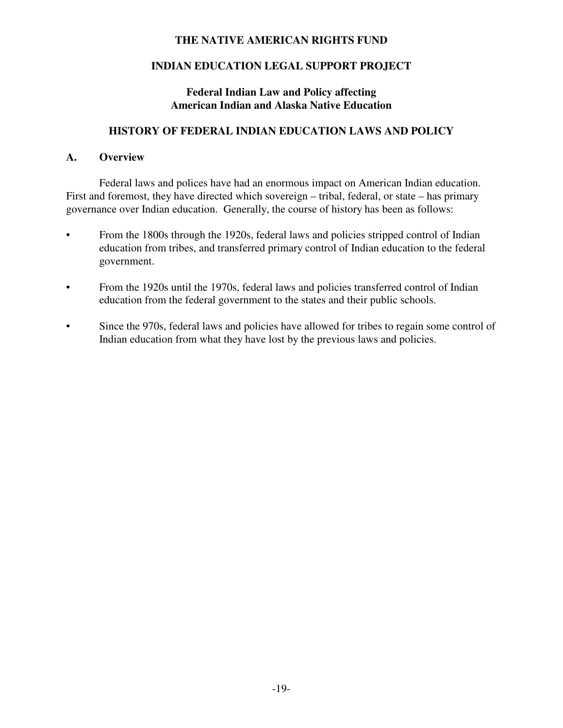# **INDIAN EDUCATION LEGAL SUPPORT PROJECT**

## **Federal Indian Law and Policy affecting American Indian and Alaska Native Education**

## **HISTORY OF FEDERAL INDIAN EDUCATION LAWS AND POLICY**

## **A. Overview**

Federal laws and polices have had an enormous impact on American Indian education. First and foremost, they have directed which sovereign – tribal, federal, or state – has primary governance over Indian education. Generally, the course of history has been as follows:

- From the 1800s through the 1920s, federal laws and policies stripped control of Indian education from tribes, and transferred primary control of Indian education to the federal government.
- From the 1920s until the 1970s, federal laws and policies transferred control of Indian education from the federal government to the states and their public schools.
- Since the 970s, federal laws and policies have allowed for tribes to regain some control of Indian education from what they have lost by the previous laws and policies.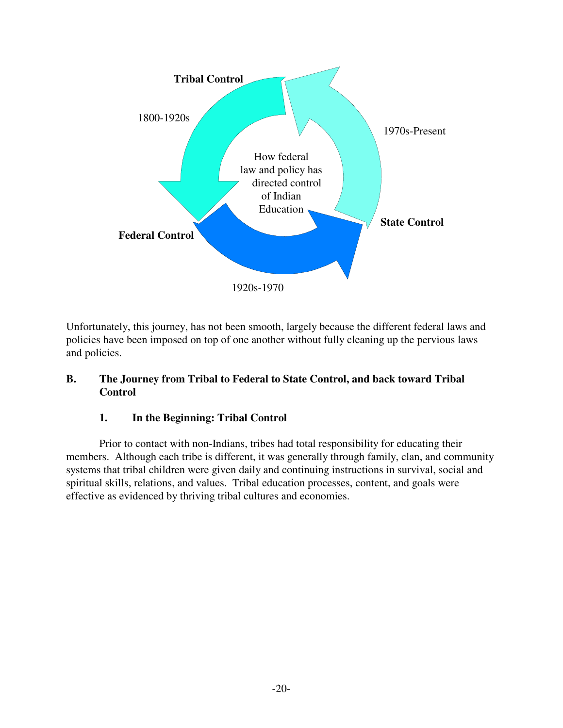

Unfortunately, this journey, has not been smooth, largely because the different federal laws and policies have been imposed on top of one another without fully cleaning up the pervious laws and policies.

## **B. The Journey from Tribal to Federal to State Control, and back toward Tribal Control**

# **1. In the Beginning: Tribal Control**

Prior to contact with non-Indians, tribes had total responsibility for educating their members. Although each tribe is different, it was generally through family, clan, and community systems that tribal children were given daily and continuing instructions in survival, social and spiritual skills, relations, and values. Tribal education processes, content, and goals were effective as evidenced by thriving tribal cultures and economies.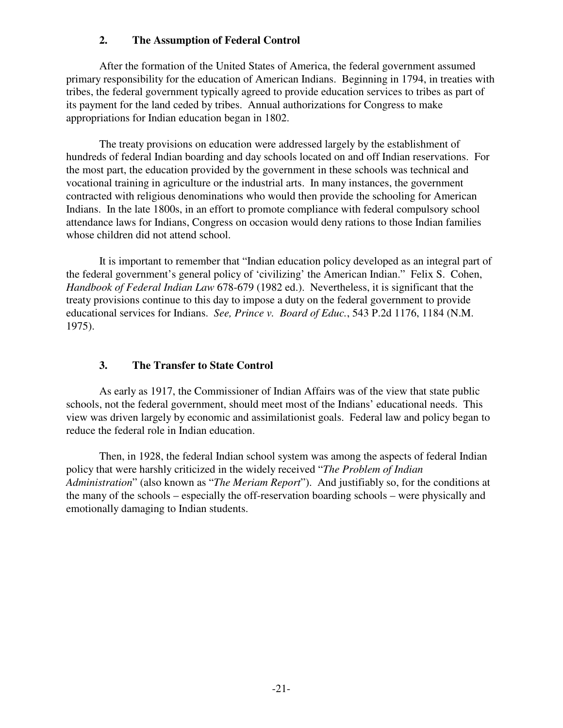## **2. The Assumption of Federal Control**

After the formation of the United States of America, the federal government assumed primary responsibility for the education of American Indians. Beginning in 1794, in treaties with tribes, the federal government typically agreed to provide education services to tribes as part of its payment for the land ceded by tribes. Annual authorizations for Congress to make appropriations for Indian education began in 1802.

The treaty provisions on education were addressed largely by the establishment of hundreds of federal Indian boarding and day schools located on and off Indian reservations. For the most part, the education provided by the government in these schools was technical and vocational training in agriculture or the industrial arts. In many instances, the government contracted with religious denominations who would then provide the schooling for American Indians. In the late 1800s, in an effort to promote compliance with federal compulsory school attendance laws for Indians, Congress on occasion would deny rations to those Indian families whose children did not attend school.

It is important to remember that "Indian education policy developed as an integral part of the federal government's general policy of 'civilizing' the American Indian." Felix S. Cohen, *Handbook of Federal Indian Law* 678-679 (1982 ed.). Nevertheless, it is significant that the treaty provisions continue to this day to impose a duty on the federal government to provide educational services for Indians. *See, Prince v. Board of Educ.*, 543 P.2d 1176, 1184 (N.M. 1975).

# **3. The Transfer to State Control**

As early as 1917, the Commissioner of Indian Affairs was of the view that state public schools, not the federal government, should meet most of the Indians' educational needs. This view was driven largely by economic and assimilationist goals. Federal law and policy began to reduce the federal role in Indian education.

Then, in 1928, the federal Indian school system was among the aspects of federal Indian policy that were harshly criticized in the widely received "*The Problem of Indian Administration*" (also known as "*The Meriam Report*"). And justifiably so, for the conditions at the many of the schools – especially the off-reservation boarding schools – were physically and emotionally damaging to Indian students.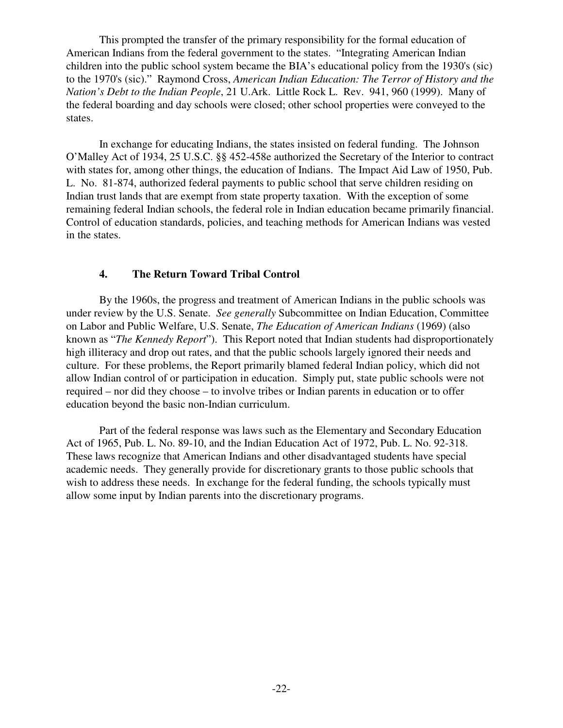This prompted the transfer of the primary responsibility for the formal education of American Indians from the federal government to the states. "Integrating American Indian children into the public school system became the BIA's educational policy from the 1930's (sic) to the 1970's (sic)." Raymond Cross, *American Indian Education: The Terror of History and the Nation's Debt to the Indian People*, 21 U.Ark. Little Rock L. Rev. 941, 960 (1999). Many of the federal boarding and day schools were closed; other school properties were conveyed to the states.

In exchange for educating Indians, the states insisted on federal funding. The Johnson O'Malley Act of 1934, 25 U.S.C. §§ 452-458e authorized the Secretary of the Interior to contract with states for, among other things, the education of Indians. The Impact Aid Law of 1950, Pub. L. No. 81-874, authorized federal payments to public school that serve children residing on Indian trust lands that are exempt from state property taxation. With the exception of some remaining federal Indian schools, the federal role in Indian education became primarily financial. Control of education standards, policies, and teaching methods for American Indians was vested in the states.

## **4. The Return Toward Tribal Control**

By the 1960s, the progress and treatment of American Indians in the public schools was under review by the U.S. Senate. *See generally* Subcommittee on Indian Education, Committee on Labor and Public Welfare, U.S. Senate, *The Education of American Indians* (1969) (also known as "*The Kennedy Report*"). This Report noted that Indian students had disproportionately high illiteracy and drop out rates, and that the public schools largely ignored their needs and culture. For these problems, the Report primarily blamed federal Indian policy, which did not allow Indian control of or participation in education. Simply put, state public schools were not required – nor did they choose – to involve tribes or Indian parents in education or to offer education beyond the basic non-Indian curriculum.

Part of the federal response was laws such as the Elementary and Secondary Education Act of 1965, Pub. L. No. 89-10, and the Indian Education Act of 1972, Pub. L. No. 92-318. These laws recognize that American Indians and other disadvantaged students have special academic needs. They generally provide for discretionary grants to those public schools that wish to address these needs. In exchange for the federal funding, the schools typically must allow some input by Indian parents into the discretionary programs.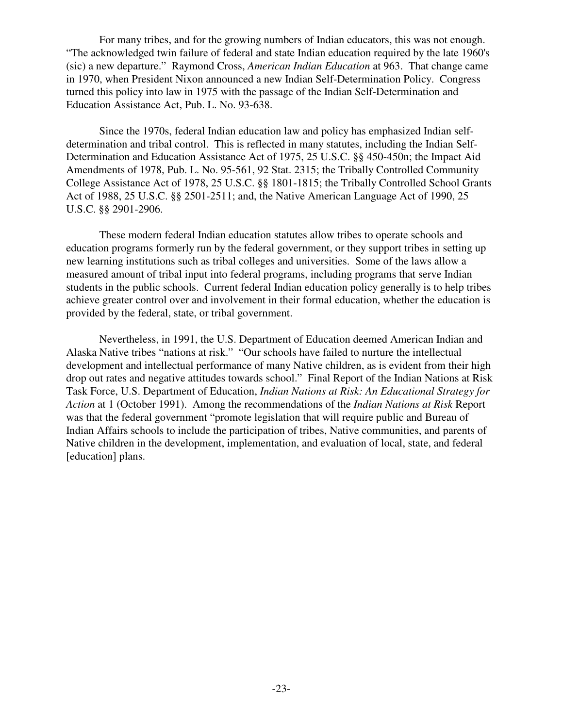For many tribes, and for the growing numbers of Indian educators, this was not enough. "The acknowledged twin failure of federal and state Indian education required by the late 1960's (sic) a new departure." Raymond Cross, *American Indian Education* at 963. That change came in 1970, when President Nixon announced a new Indian Self-Determination Policy. Congress turned this policy into law in 1975 with the passage of the Indian Self-Determination and Education Assistance Act, Pub. L. No. 93-638.

Since the 1970s, federal Indian education law and policy has emphasized Indian selfdetermination and tribal control. This is reflected in many statutes, including the Indian Self-Determination and Education Assistance Act of 1975, 25 U.S.C. §§ 450-450n; the Impact Aid Amendments of 1978, Pub. L. No. 95-561, 92 Stat. 2315; the Tribally Controlled Community College Assistance Act of 1978, 25 U.S.C. §§ 1801-1815; the Tribally Controlled School Grants Act of 1988, 25 U.S.C. §§ 2501-2511; and, the Native American Language Act of 1990, 25 U.S.C. §§ 2901-2906.

These modern federal Indian education statutes allow tribes to operate schools and education programs formerly run by the federal government, or they support tribes in setting up new learning institutions such as tribal colleges and universities. Some of the laws allow a measured amount of tribal input into federal programs, including programs that serve Indian students in the public schools. Current federal Indian education policy generally is to help tribes achieve greater control over and involvement in their formal education, whether the education is provided by the federal, state, or tribal government.

Nevertheless, in 1991, the U.S. Department of Education deemed American Indian and Alaska Native tribes "nations at risk." "Our schools have failed to nurture the intellectual development and intellectual performance of many Native children, as is evident from their high drop out rates and negative attitudes towards school." Final Report of the Indian Nations at Risk Task Force, U.S. Department of Education, *Indian Nations at Risk: An Educational Strategy for Action* at 1 (October 1991). Among the recommendations of the *Indian Nations at Risk* Report was that the federal government "promote legislation that will require public and Bureau of Indian Affairs schools to include the participation of tribes, Native communities, and parents of Native children in the development, implementation, and evaluation of local, state, and federal [education] plans.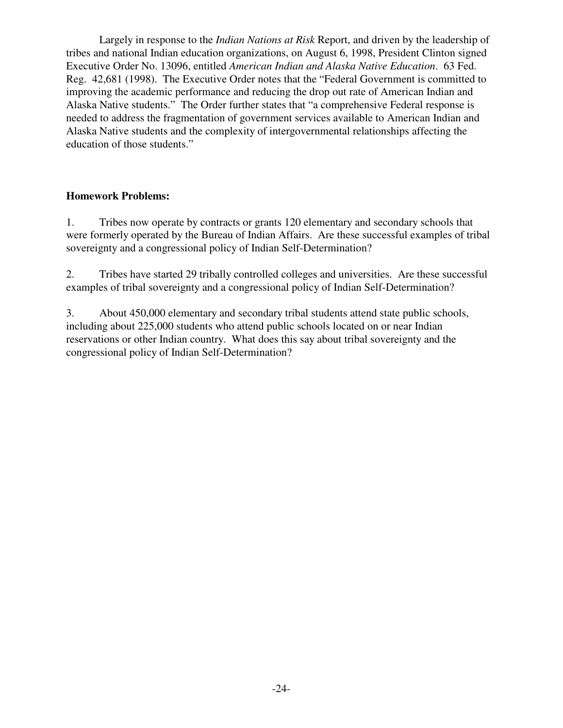Largely in response to the *Indian Nations at Risk* Report, and driven by the leadership of tribes and national Indian education organizations, on August 6, 1998, President Clinton signed Executive Order No. 13096, entitled *American Indian and Alaska Native Education*. 63 Fed. Reg. 42,681 (1998). The Executive Order notes that the "Federal Government is committed to improving the academic performance and reducing the drop out rate of American Indian and Alaska Native students." The Order further states that "a comprehensive Federal response is needed to address the fragmentation of government services available to American Indian and Alaska Native students and the complexity of intergovernmental relationships affecting the education of those students."

# **Homework Problems:**

1. Tribes now operate by contracts or grants 120 elementary and secondary schools that were formerly operated by the Bureau of Indian Affairs. Are these successful examples of tribal sovereignty and a congressional policy of Indian Self-Determination?

2. Tribes have started 29 tribally controlled colleges and universities. Are these successful examples of tribal sovereignty and a congressional policy of Indian Self-Determination?

3. About 450,000 elementary and secondary tribal students attend state public schools, including about 225,000 students who attend public schools located on or near Indian reservations or other Indian country. What does this say about tribal sovereignty and the congressional policy of Indian Self-Determination?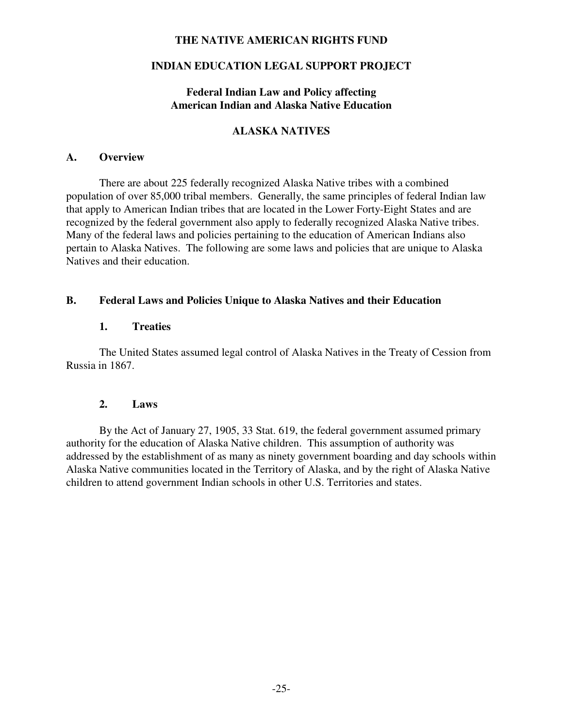## **INDIAN EDUCATION LEGAL SUPPORT PROJECT**

## **Federal Indian Law and Policy affecting American Indian and Alaska Native Education**

## **ALASKA NATIVES**

### **A. Overview**

There are about 225 federally recognized Alaska Native tribes with a combined population of over 85,000 tribal members. Generally, the same principles of federal Indian law that apply to American Indian tribes that are located in the Lower Forty-Eight States and are recognized by the federal government also apply to federally recognized Alaska Native tribes. Many of the federal laws and policies pertaining to the education of American Indians also pertain to Alaska Natives. The following are some laws and policies that are unique to Alaska Natives and their education.

## **B. Federal Laws and Policies Unique to Alaska Natives and their Education**

## **1. Treaties**

The United States assumed legal control of Alaska Natives in the Treaty of Cession from Russia in 1867.

## **2. Laws**

By the Act of January 27, 1905, 33 Stat. 619, the federal government assumed primary authority for the education of Alaska Native children. This assumption of authority was addressed by the establishment of as many as ninety government boarding and day schools within Alaska Native communities located in the Territory of Alaska, and by the right of Alaska Native children to attend government Indian schools in other U.S. Territories and states.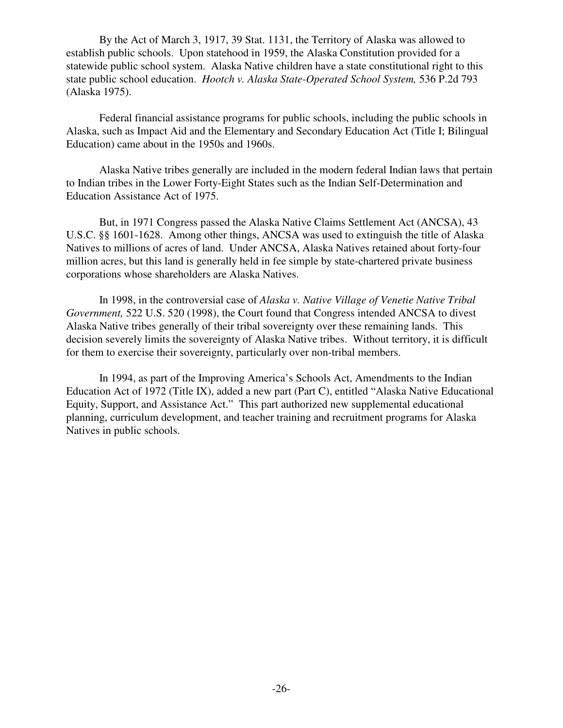By the Act of March 3, 1917, 39 Stat. 1131, the Territory of Alaska was allowed to establish public schools. Upon statehood in 1959, the Alaska Constitution provided for a statewide public school system. Alaska Native children have a state constitutional right to this state public school education. *Hootch v. Alaska State-Operated School System,* 536 P.2d 793 (Alaska 1975).

Federal financial assistance programs for public schools, including the public schools in Alaska, such as Impact Aid and the Elementary and Secondary Education Act (Title I; Bilingual Education) came about in the 1950s and 1960s.

Alaska Native tribes generally are included in the modern federal Indian laws that pertain to Indian tribes in the Lower Forty-Eight States such as the Indian Self-Determination and Education Assistance Act of 1975.

But, in 1971 Congress passed the Alaska Native Claims Settlement Act (ANCSA), 43 U.S.C. §§ 1601-1628. Among other things, ANCSA was used to extinguish the title of Alaska Natives to millions of acres of land. Under ANCSA, Alaska Natives retained about forty-four million acres, but this land is generally held in fee simple by state-chartered private business corporations whose shareholders are Alaska Natives.

In 1998, in the controversial case of *Alaska v. Native Village of Venetie Native Tribal Government,* 522 U.S. 520 (1998), the Court found that Congress intended ANCSA to divest Alaska Native tribes generally of their tribal sovereignty over these remaining lands. This decision severely limits the sovereignty of Alaska Native tribes. Without territory, it is difficult for them to exercise their sovereignty, particularly over non-tribal members.

In 1994, as part of the Improving America's Schools Act, Amendments to the Indian Education Act of 1972 (Title IX), added a new part (Part C), entitled "Alaska Native Educational Equity, Support, and Assistance Act." This part authorized new supplemental educational planning, curriculum development, and teacher training and recruitment programs for Alaska Natives in public schools.